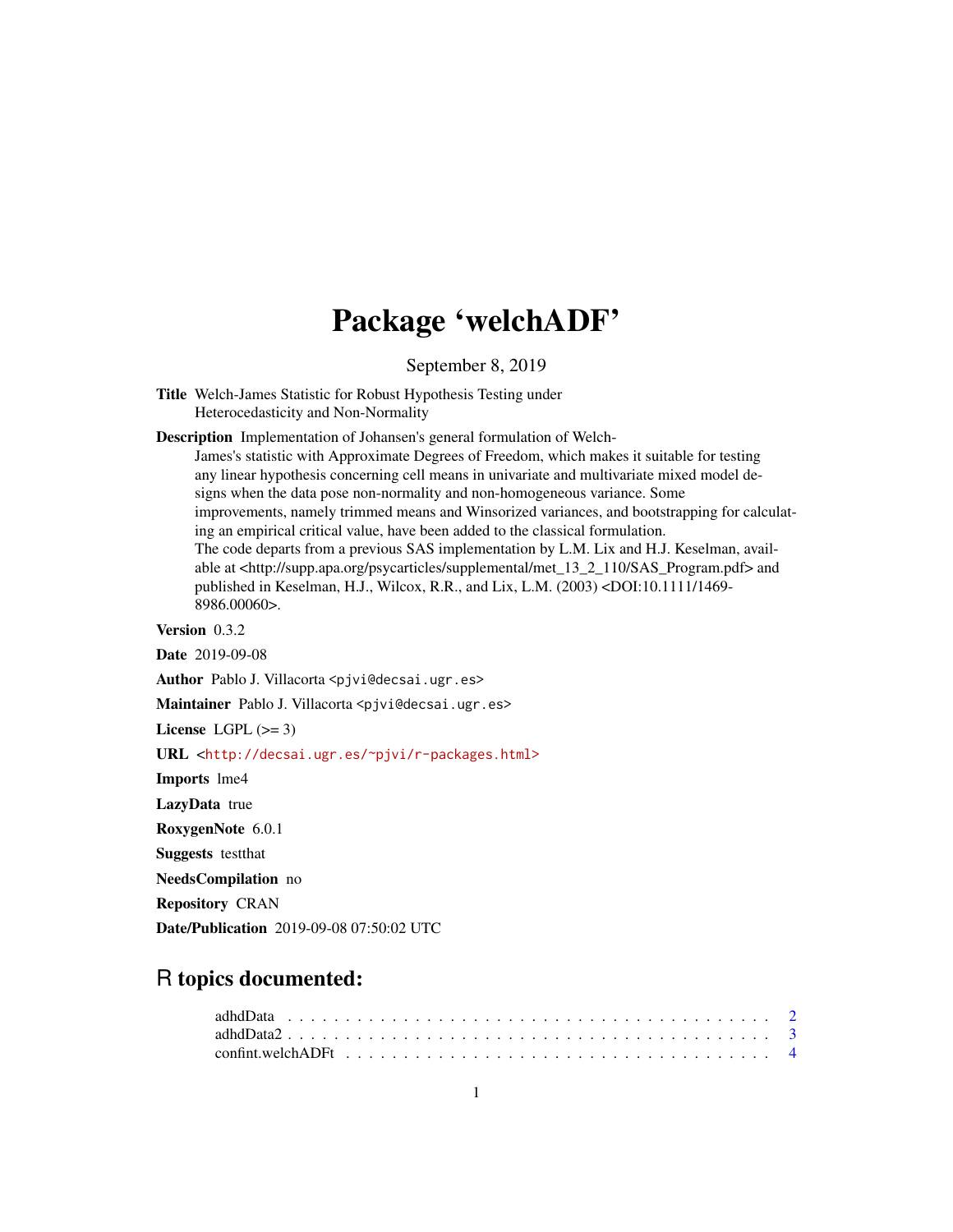# Package 'welchADF'

September 8, 2019

<span id="page-0-0"></span>Title Welch-James Statistic for Robust Hypothesis Testing under Heterocedasticity and Non-Normality

Description Implementation of Johansen's general formulation of Welch-

James's statistic with Approximate Degrees of Freedom, which makes it suitable for testing any linear hypothesis concerning cell means in univariate and multivariate mixed model designs when the data pose non-normality and non-homogeneous variance. Some improvements, namely trimmed means and Winsorized variances, and bootstrapping for calculating an empirical critical value, have been added to the classical formulation. The code departs from a previous SAS implementation by L.M. Lix and H.J. Keselman, available at <http://supp.apa.org/psycarticles/supplemental/met\_13\_2\_110/SAS\_Program.pdf> and published in Keselman, H.J., Wilcox, R.R., and Lix, L.M. (2003) <DOI:10.1111/1469- 8986.00060>.

Version 0.3.2

Date 2019-09-08

Author Pablo J. Villacorta <pjvi@decsai.ugr.es>

Maintainer Pablo J. Villacorta <pjvi@decsai.ugr.es>

License LGPL  $(>= 3)$ 

URL <<http://decsai.ugr.es/~pjvi/r-packages.html>>

Imports lme4

LazyData true

RoxygenNote 6.0.1

Suggests testthat

NeedsCompilation no

Repository CRAN

Date/Publication 2019-09-08 07:50:02 UTC

## R topics documented:

| $adhdData2$ |  |  |  |  |  |  |  |  |  |  |  |  |  |  |  |  |  |
|-------------|--|--|--|--|--|--|--|--|--|--|--|--|--|--|--|--|--|
|             |  |  |  |  |  |  |  |  |  |  |  |  |  |  |  |  |  |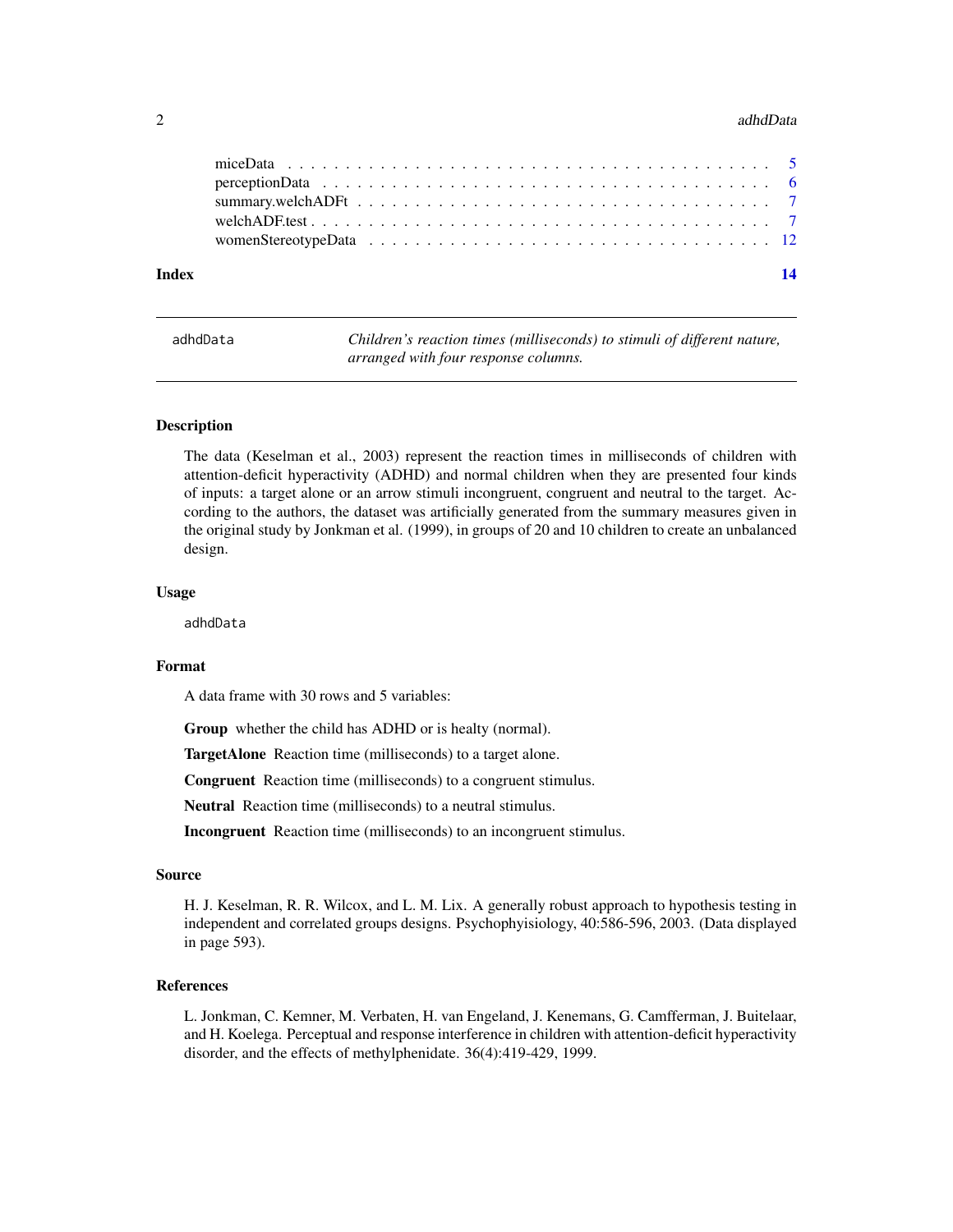#### <span id="page-1-0"></span>2 adhdData ac am an seo anns an t-an-seo anns an t-an-seo anns an t-an-seo anns an t-an-seo anns an t-an-seo anns an t-an-seo anns an t-an-seo anns an t-an-seo anns an t-an-seo anns an t-an-seo anns an t-an-seo anns an t-a

| Index |  |  |  |  |  |  |  |  |  |  |  |  |  |  |  | 14 |
|-------|--|--|--|--|--|--|--|--|--|--|--|--|--|--|--|----|
|       |  |  |  |  |  |  |  |  |  |  |  |  |  |  |  |    |
|       |  |  |  |  |  |  |  |  |  |  |  |  |  |  |  |    |
|       |  |  |  |  |  |  |  |  |  |  |  |  |  |  |  |    |
|       |  |  |  |  |  |  |  |  |  |  |  |  |  |  |  |    |
|       |  |  |  |  |  |  |  |  |  |  |  |  |  |  |  |    |

<span id="page-1-1"></span>

| adhdData | Children's reaction times (milliseconds) to stimuli of different nature, |
|----------|--------------------------------------------------------------------------|
|          | arranged with four response columns.                                     |

#### Description

The data (Keselman et al., 2003) represent the reaction times in milliseconds of children with attention-deficit hyperactivity (ADHD) and normal children when they are presented four kinds of inputs: a target alone or an arrow stimuli incongruent, congruent and neutral to the target. According to the authors, the dataset was artificially generated from the summary measures given in the original study by Jonkman et al. (1999), in groups of 20 and 10 children to create an unbalanced design.

#### Usage

adhdData

#### Format

A data frame with 30 rows and 5 variables:

Group whether the child has ADHD or is healty (normal).

TargetAlone Reaction time (milliseconds) to a target alone.

Congruent Reaction time (milliseconds) to a congruent stimulus.

Neutral Reaction time (milliseconds) to a neutral stimulus.

Incongruent Reaction time (milliseconds) to an incongruent stimulus.

#### Source

H. J. Keselman, R. R. Wilcox, and L. M. Lix. A generally robust approach to hypothesis testing in independent and correlated groups designs. Psychophyisiology, 40:586-596, 2003. (Data displayed in page 593).

#### References

L. Jonkman, C. Kemner, M. Verbaten, H. van Engeland, J. Kenemans, G. Camfferman, J. Buitelaar, and H. Koelega. Perceptual and response interference in children with attention-deficit hyperactivity disorder, and the effects of methylphenidate. 36(4):419-429, 1999.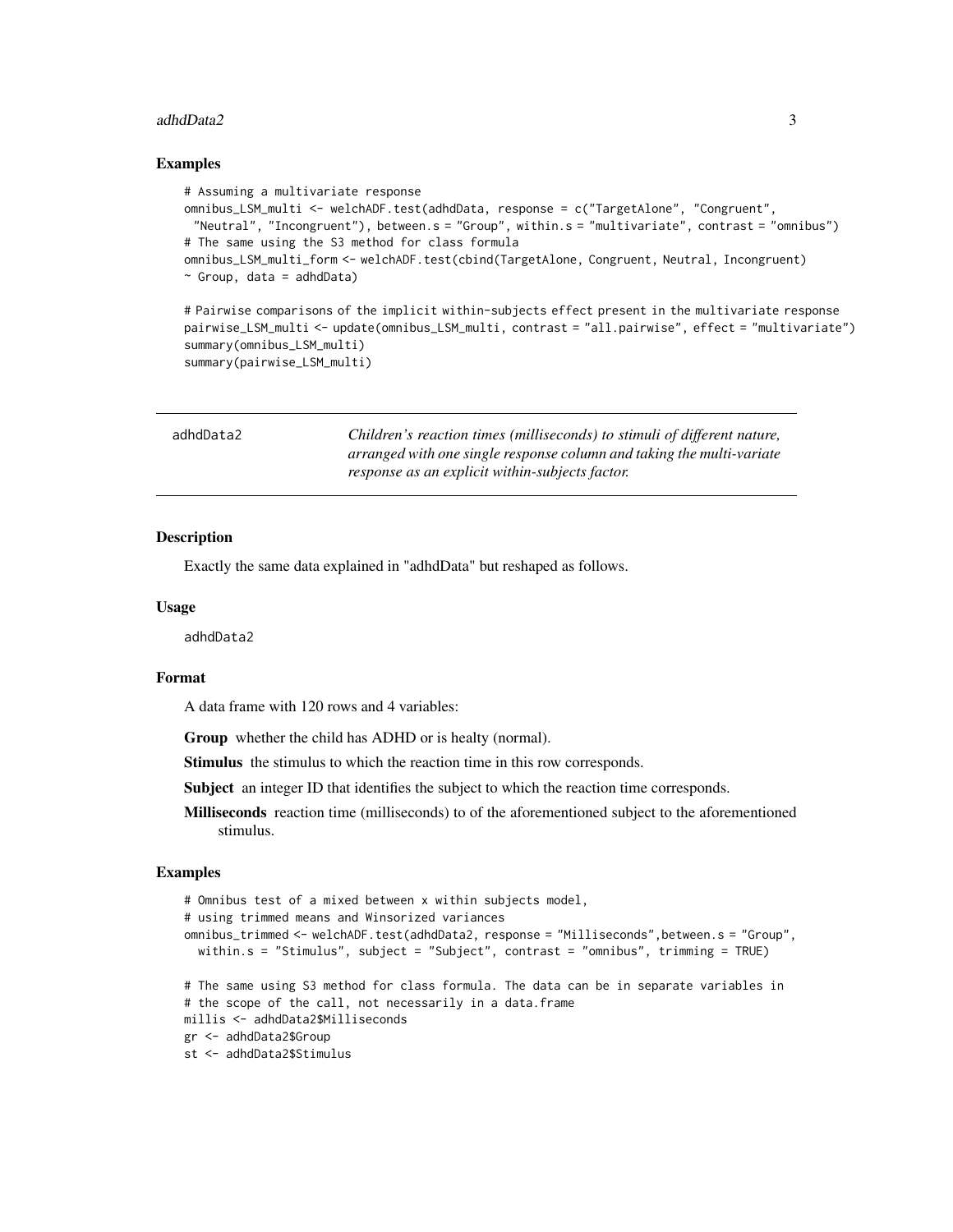#### <span id="page-2-0"></span>adhdData2 3

#### Examples

```
# Assuming a multivariate response
omnibus_LSM_multi <- welchADF.test(adhdData, response = c("TargetAlone", "Congruent",
 "Neutral", "Incongruent"), between.s = "Group", within.s = "multivariate", contrast = "omnibus")
# The same using the S3 method for class formula
omnibus_LSM_multi_form <- welchADF.test(cbind(TargetAlone, Congruent, Neutral, Incongruent)
\sim Group, data = adhdData)
# Pairwise comparisons of the implicit within-subjects effect present in the multivariate response
```
pairwise\_LSM\_multi <- update(omnibus\_LSM\_multi, contrast = "all.pairwise", effect = "multivariate") summary(omnibus\_LSM\_multi)

summary(pairwise\_LSM\_multi)

<span id="page-2-1"></span>

| adhdData2 | Children's reaction times (milliseconds) to stimuli of different nature, |
|-----------|--------------------------------------------------------------------------|
|           | arranged with one single response column and taking the multi-variate    |
|           | response as an explicit within-subjects factor.                          |

#### Description

Exactly the same data explained in "adhdData" but reshaped as follows.

#### Usage

adhdData2

#### Format

A data frame with 120 rows and 4 variables:

Group whether the child has ADHD or is healty (normal).

Stimulus the stimulus to which the reaction time in this row corresponds.

Subject an integer ID that identifies the subject to which the reaction time corresponds.

Milliseconds reaction time (milliseconds) to of the aforementioned subject to the aforementioned stimulus.

#### Examples

```
# Omnibus test of a mixed between x within subjects model,
# using trimmed means and Winsorized variances
omnibus_trimmed <- welchADF.test(adhdData2, response = "Milliseconds",between.s = "Group",
  within.s = "Stimulus", subject = "Subject", contrast = "omnibus", trimming = TRUE)
# The same using S3 method for class formula. The data can be in separate variables in
# the scope of the call, not necessarily in a data.frame
millis <- adhdData2$Milliseconds
gr <- adhdData2$Group
st <- adhdData2$Stimulus
```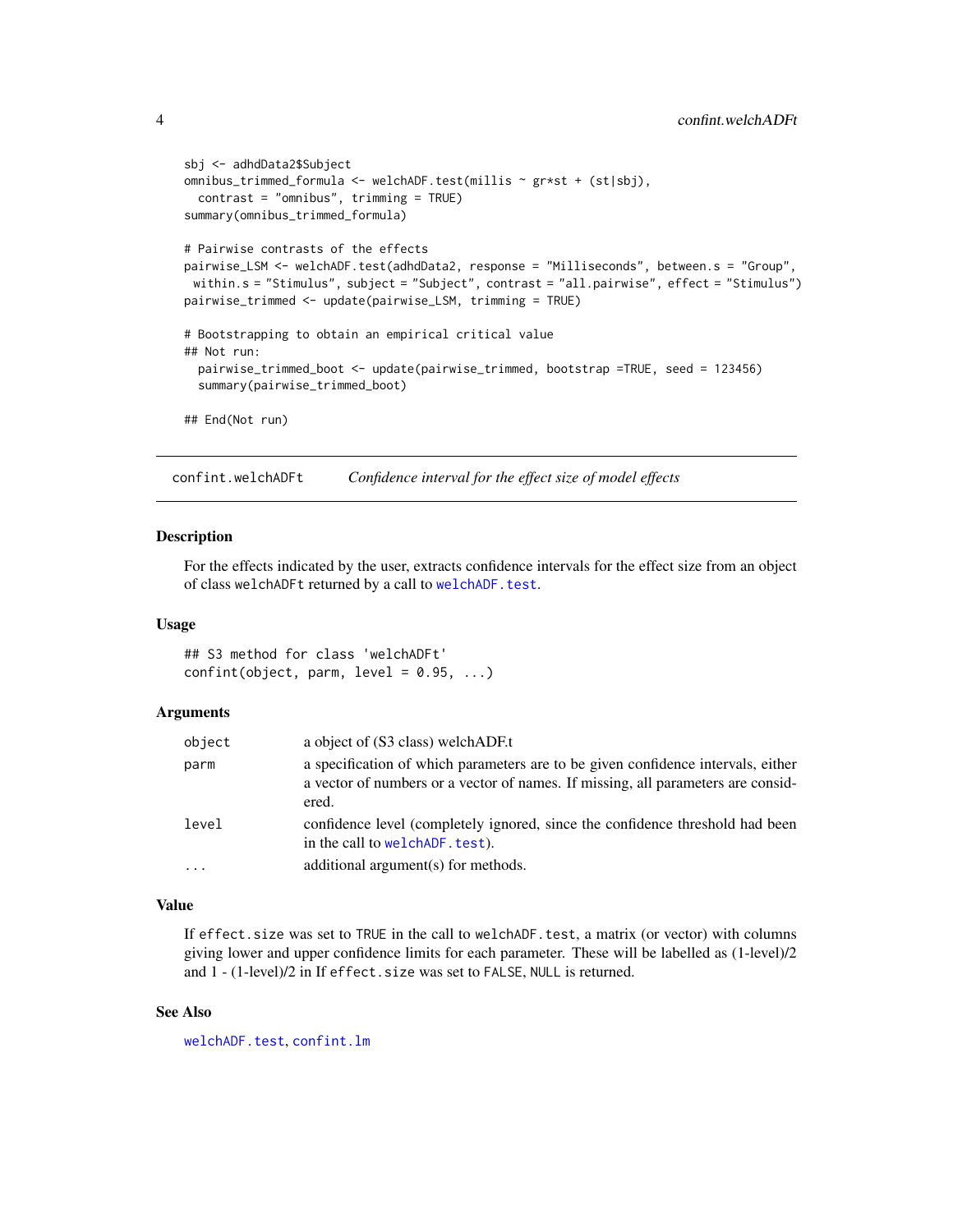```
sbj <- adhdData2$Subject
omnibus_trimmed_formula <- welchADF.test(millis ~ gr*st + (st|sbj),
 contrast = "omnibus", trimming = TRUE)
summary(omnibus_trimmed_formula)
# Pairwise contrasts of the effects
pairwise_LSM <- welchADF.test(adhdData2, response = "Milliseconds", between.s = "Group",
 within.s = "Stimulus", subject = "Subject", contrast = "all.pairwise", effect = "Stimulus")
pairwise_trimmed <- update(pairwise_LSM, trimming = TRUE)
# Bootstrapping to obtain an empirical critical value
## Not run:
 pairwise_trimmed_boot <- update(pairwise_trimmed, bootstrap =TRUE, seed = 123456)
 summary(pairwise_trimmed_boot)
## End(Not run)
```
confint.welchADFt *Confidence interval for the effect size of model effects*

#### Description

For the effects indicated by the user, extracts confidence intervals for the effect size from an object of class welchADFt returned by a call to [welchADF.test](#page-6-1).

#### Usage

## S3 method for class 'welchADFt'  $confint(object, parm, level = 0.95, ...)$ 

#### Arguments

| object     | a object of (S3 class) welchADF.t                                                                                                                                             |
|------------|-------------------------------------------------------------------------------------------------------------------------------------------------------------------------------|
| parm       | a specification of which parameters are to be given confidence intervals, either<br>a vector of numbers or a vector of names. If missing, all parameters are consid-<br>ered. |
| level      | confidence level (completely ignored, since the confidence threshold had been<br>in the call to welchADF, test).                                                              |
| $\ddots$ . | additional argument(s) for methods.                                                                                                                                           |

#### Value

If effect.size was set to TRUE in the call to welchADF.test, a matrix (or vector) with columns giving lower and upper confidence limits for each parameter. These will be labelled as (1-level)/2 and 1 - (1-level)/2 in If effect.size was set to FALSE, NULL is returned.

#### See Also

[welchADF.test](#page-6-1), [confint.lm](#page-0-0)

<span id="page-3-0"></span>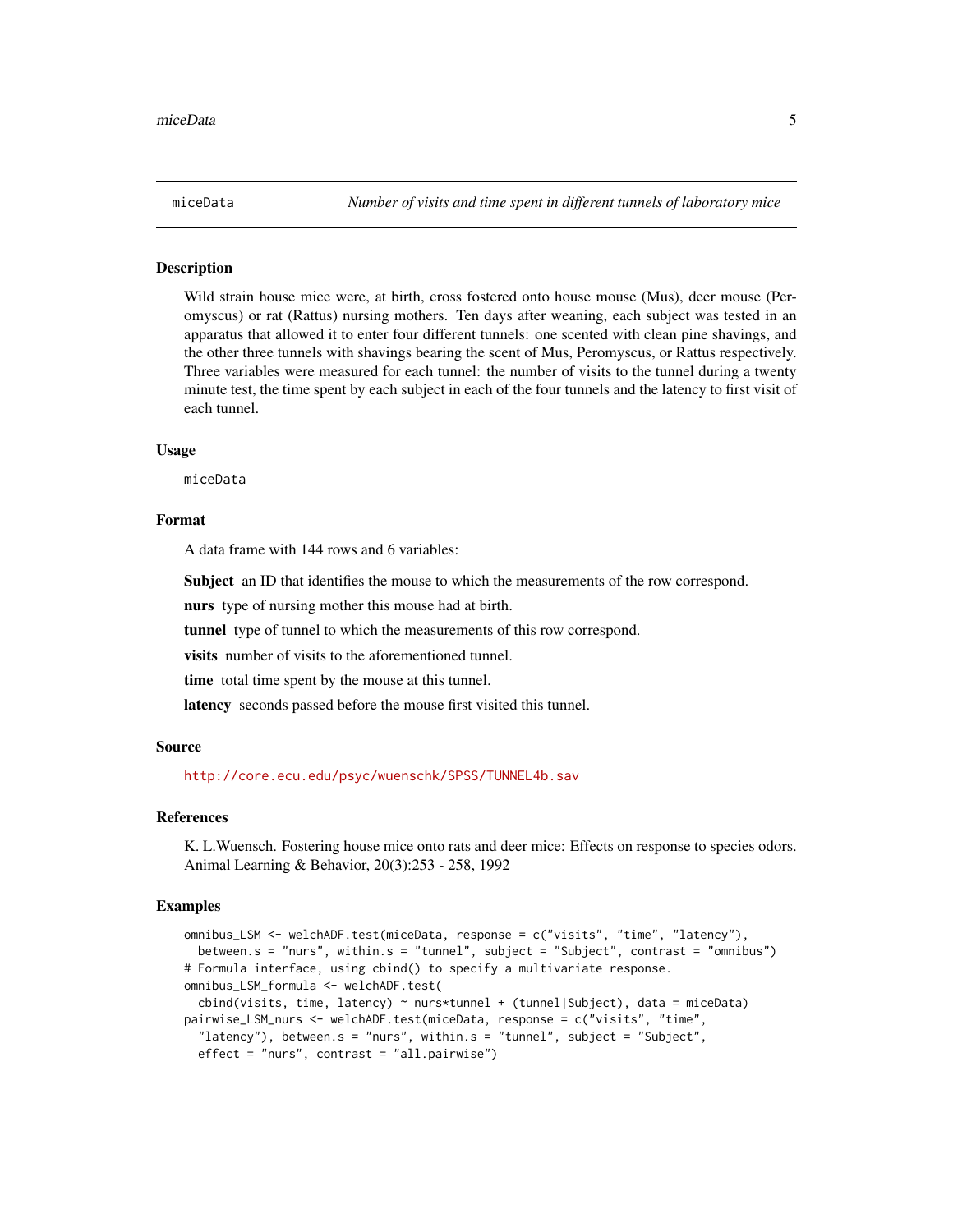<span id="page-4-1"></span><span id="page-4-0"></span>

#### Description

Wild strain house mice were, at birth, cross fostered onto house mouse (Mus), deer mouse (Peromyscus) or rat (Rattus) nursing mothers. Ten days after weaning, each subject was tested in an apparatus that allowed it to enter four different tunnels: one scented with clean pine shavings, and the other three tunnels with shavings bearing the scent of Mus, Peromyscus, or Rattus respectively. Three variables were measured for each tunnel: the number of visits to the tunnel during a twenty minute test, the time spent by each subject in each of the four tunnels and the latency to first visit of each tunnel.

#### Usage

miceData

#### Format

A data frame with 144 rows and 6 variables:

Subject an ID that identifies the mouse to which the measurements of the row correspond.

nurs type of nursing mother this mouse had at birth.

tunnel type of tunnel to which the measurements of this row correspond.

visits number of visits to the aforementioned tunnel.

time total time spent by the mouse at this tunnel.

latency seconds passed before the mouse first visited this tunnel.

#### Source

<http://core.ecu.edu/psyc/wuenschk/SPSS/TUNNEL4b.sav>

#### References

K. L.Wuensch. Fostering house mice onto rats and deer mice: Effects on response to species odors. Animal Learning & Behavior, 20(3):253 - 258, 1992

#### Examples

```
omnibus_LSM <- welchADF.test(miceData, response = c("visits", "time", "latency"),
 between.s = "nurs", within.s = "tunnel", subject = "Subject", contrast = "omnibus")
# Formula interface, using cbind() to specify a multivariate response.
omnibus_LSM_formula <- welchADF.test(
 cbind(visits, time, latency) ~ nurs*tunnel + (tunnel|Subject), data = miceData)
pairwise_LSM_nurs <- welchADF.test(miceData, response = c("visits", "time",
  "latency"), between.s = "nurs", within.s = "tunnel", subject = "Subject",
 effect = "nurs", contrast = "all.pairwise")
```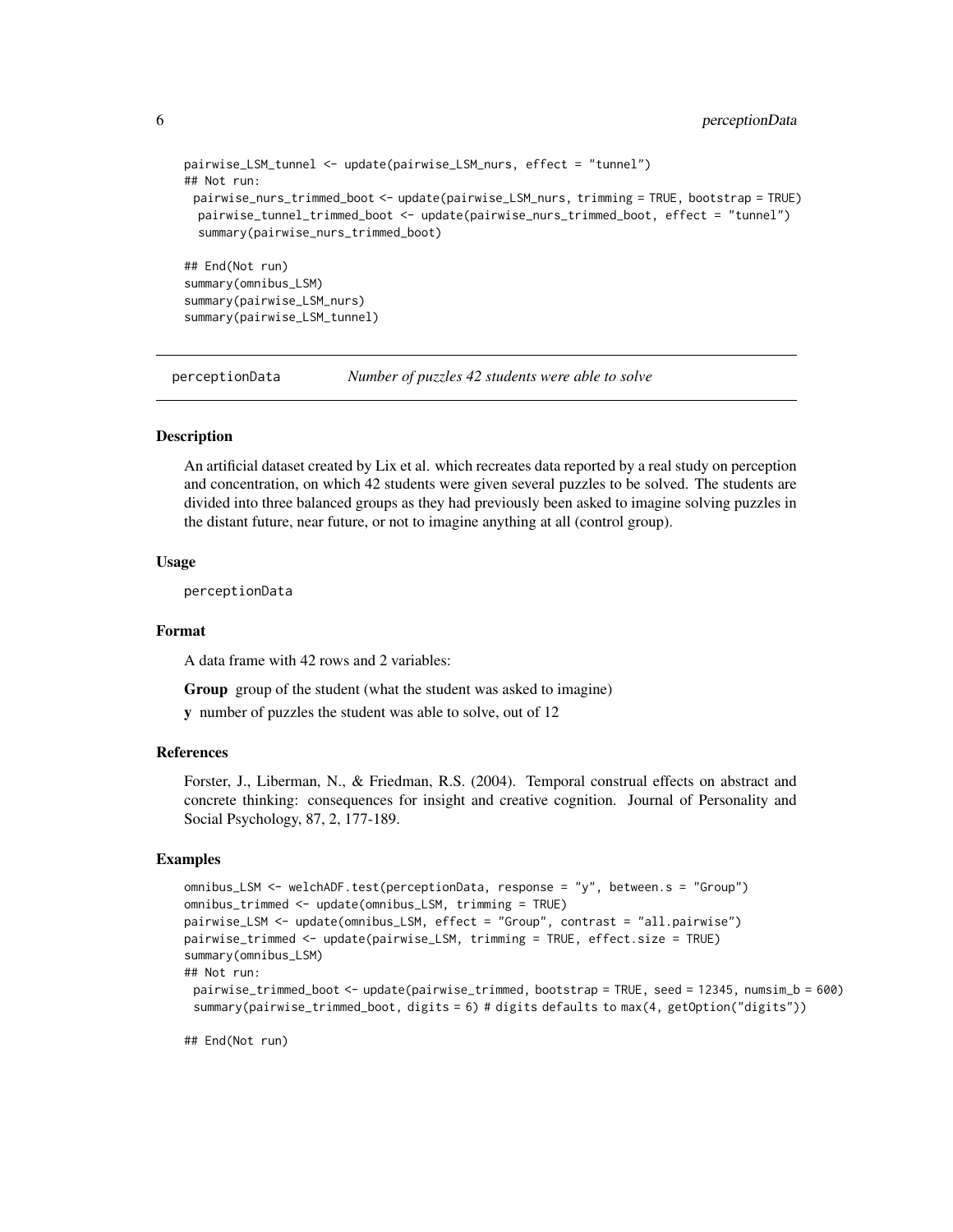```
pairwise_LSM_tunnel <- update(pairwise_LSM_nurs, effect = "tunnel")
## Not run:
 pairwise_nurs_trimmed_boot <- update(pairwise_LSM_nurs, trimming = TRUE, bootstrap = TRUE)
 pairwise_tunnel_trimmed_boot <- update(pairwise_nurs_trimmed_boot, effect = "tunnel")
 summary(pairwise_nurs_trimmed_boot)
## End(Not run)
summary(omnibus_LSM)
summary(pairwise_LSM_nurs)
summary(pairwise_LSM_tunnel)
```
<span id="page-5-1"></span>perceptionData *Number of puzzles 42 students were able to solve*

#### Description

An artificial dataset created by Lix et al. which recreates data reported by a real study on perception and concentration, on which 42 students were given several puzzles to be solved. The students are divided into three balanced groups as they had previously been asked to imagine solving puzzles in the distant future, near future, or not to imagine anything at all (control group).

#### Usage

perceptionData

#### Format

A data frame with 42 rows and 2 variables:

Group group of the student (what the student was asked to imagine)

y number of puzzles the student was able to solve, out of 12

#### References

Forster, J., Liberman, N., & Friedman, R.S. (2004). Temporal construal effects on abstract and concrete thinking: consequences for insight and creative cognition. Journal of Personality and Social Psychology, 87, 2, 177-189.

#### Examples

```
omnibus_LSM <- welchADF.test(perceptionData, response = "y", between.s = "Group")
omnibus_trimmed <- update(omnibus_LSM, trimming = TRUE)
pairwise_LSM <- update(omnibus_LSM, effect = "Group", contrast = "all.pairwise")
pairwise_trimmed <- update(pairwise_LSM, trimming = TRUE, effect.size = TRUE)
summary(omnibus_LSM)
## Not run:
 pairwise_trimmed_boot <- update(pairwise_trimmed, bootstrap = TRUE, seed = 12345, numsim_b = 600)
 summary(pairwise_trimmed_boot, digits = 6) # digits defaults to max(4, getOption("digits"))
```
## End(Not run)

<span id="page-5-0"></span>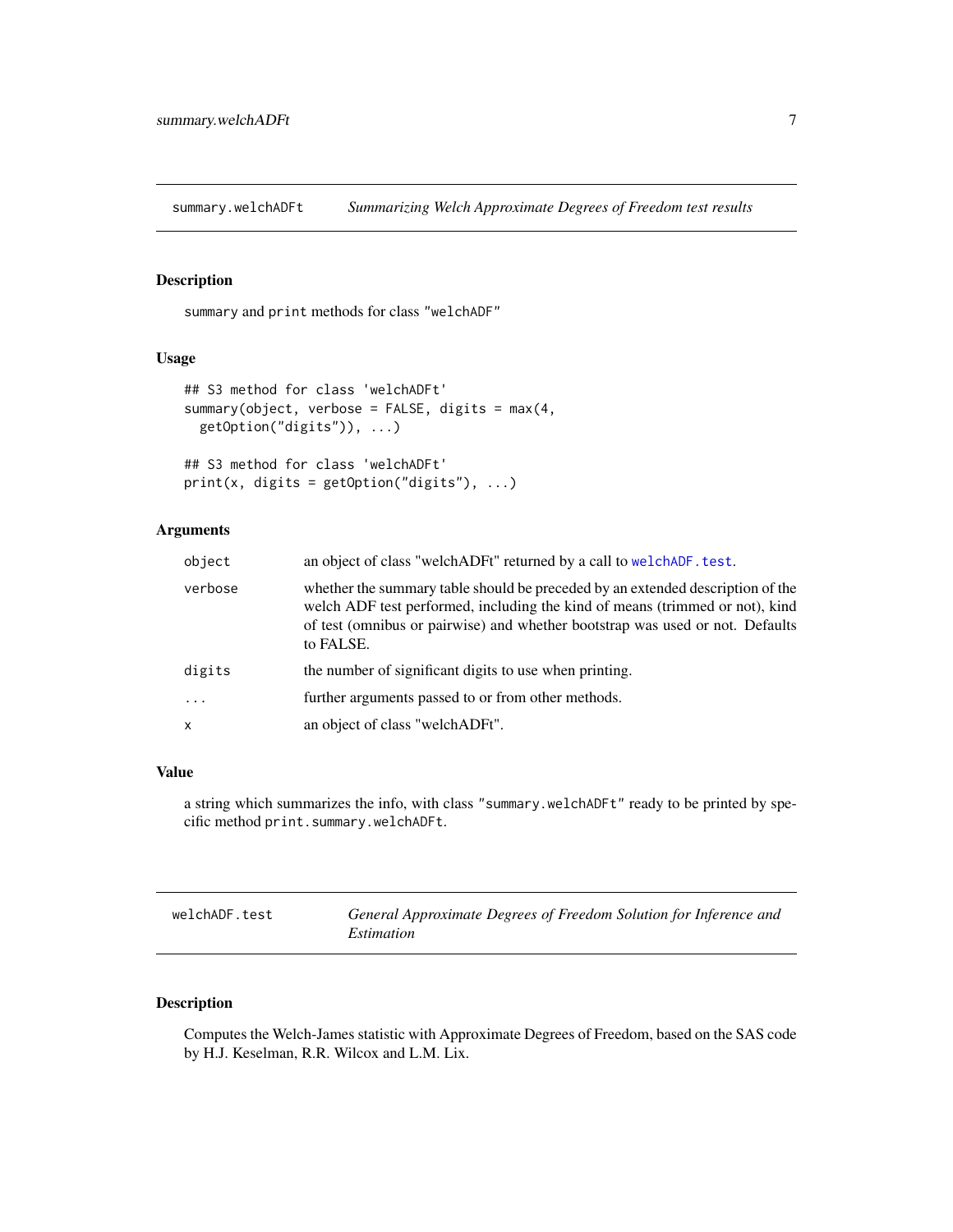<span id="page-6-3"></span><span id="page-6-0"></span>summary.welchADFt *Summarizing Welch Approximate Degrees of Freedom test results*

### <span id="page-6-2"></span>Description

summary and print methods for class "welchADF"

#### Usage

```
## S3 method for class 'welchADFt'
summary(object, verbose = FALSE, digits = max(4,getOption("digits")), ...)
```

```
## S3 method for class 'welchADFt'
print(x, digits = getOption("digits"), ...)
```
#### Arguments

| object  | an object of class "welchADFt" returned by a call to welchADF. test.                                                                                                                                                                                         |
|---------|--------------------------------------------------------------------------------------------------------------------------------------------------------------------------------------------------------------------------------------------------------------|
| verbose | whether the summary table should be preceded by an extended description of the<br>welch ADF test performed, including the kind of means (trimmed or not), kind<br>of test (omnibus or pairwise) and whether bootstrap was used or not. Defaults<br>to FALSE. |
| digits  | the number of significant digits to use when printing.                                                                                                                                                                                                       |
|         | further arguments passed to or from other methods.                                                                                                                                                                                                           |
| x       | an object of class "welchADFt".                                                                                                                                                                                                                              |

#### Value

a string which summarizes the info, with class "summary.welchADFt" ready to be printed by specific method print.summary.welchADFt.

<span id="page-6-1"></span>

| welchADF.test | General Approximate Degrees of Freedom Solution for Inference and |
|---------------|-------------------------------------------------------------------|
|               | Estimation                                                        |

#### Description

Computes the Welch-James statistic with Approximate Degrees of Freedom, based on the SAS code by H.J. Keselman, R.R. Wilcox and L.M. Lix.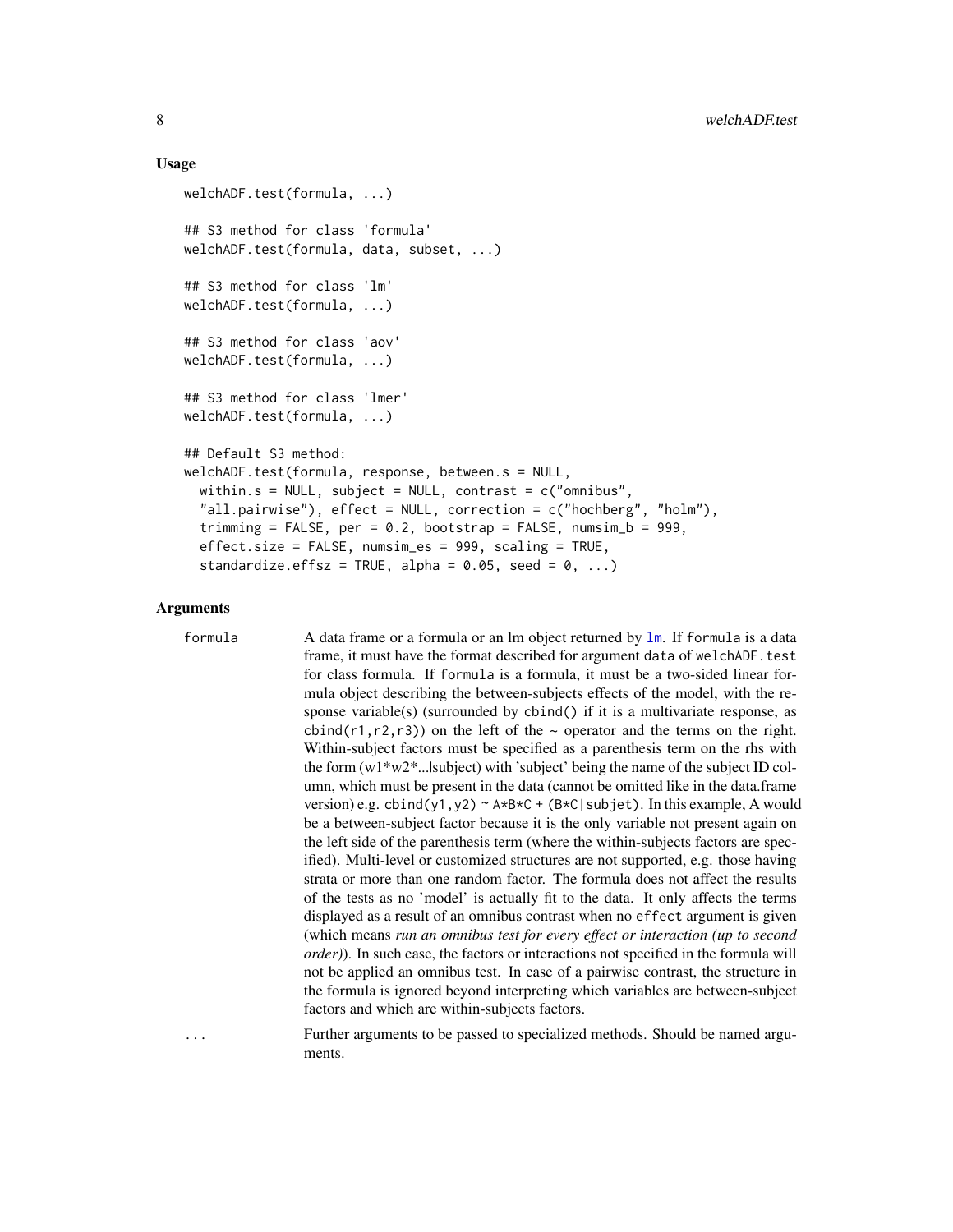#### Usage

```
welchADF.test(formula, ...)
## S3 method for class 'formula'
welchADF.test(formula, data, subset, ...)
## S3 method for class 'lm'
welchADF.test(formula, ...)
## S3 method for class 'aov'
welchADF.test(formula, ...)
## S3 method for class 'lmer'
welchADF.test(formula, ...)
## Default S3 method:
welchADF.test(formula, response, between.s = NULL,
  within.s = NULL, subject = NULL, contrast = c("omnikus","all.pairwise"), effect = NULL, correction = c("hochberg", "holm"),
  trimming = FALSE, per = 0.2, bootstrap = FALSE, numsim_b = 999,
  effect.size = FALSE, numsim_es = 999, scaling = TRUE,
  standardize.effsz = TRUE, alpha = 0.05, seed = 0, ...)
```
#### **Arguments**

formula A data frame or a formula or an lm object returned by [lm](#page-0-0). If formula is a data frame, it must have the format described for argument data of welchADF.test for class formula. If formula is a formula, it must be a two-sided linear formula object describing the between-subjects effects of the model, with the response variable(s) (surrounded by cbind() if it is a multivariate response, as cbind(r1,r2,r3)) on the left of the  $\sim$  operator and the terms on the right. Within-subject factors must be specified as a parenthesis term on the rhs with the form (w1\*w2\*...|subject) with 'subject' being the name of the subject ID column, which must be present in the data (cannot be omitted like in the data.frame version) e.g. cbind(y1,y2) ~ A\*B\*C + (B\*C|subjet). In this example, A would be a between-subject factor because it is the only variable not present again on the left side of the parenthesis term (where the within-subjects factors are specified). Multi-level or customized structures are not supported, e.g. those having strata or more than one random factor. The formula does not affect the results of the tests as no 'model' is actually fit to the data. It only affects the terms displayed as a result of an omnibus contrast when no effect argument is given (which means *run an omnibus test for every effect or interaction (up to second order)*). In such case, the factors or interactions not specified in the formula will not be applied an omnibus test. In case of a pairwise contrast, the structure in the formula is ignored beyond interpreting which variables are between-subject factors and which are within-subjects factors.

... Further arguments to be passed to specialized methods. Should be named arguments.

<span id="page-7-0"></span>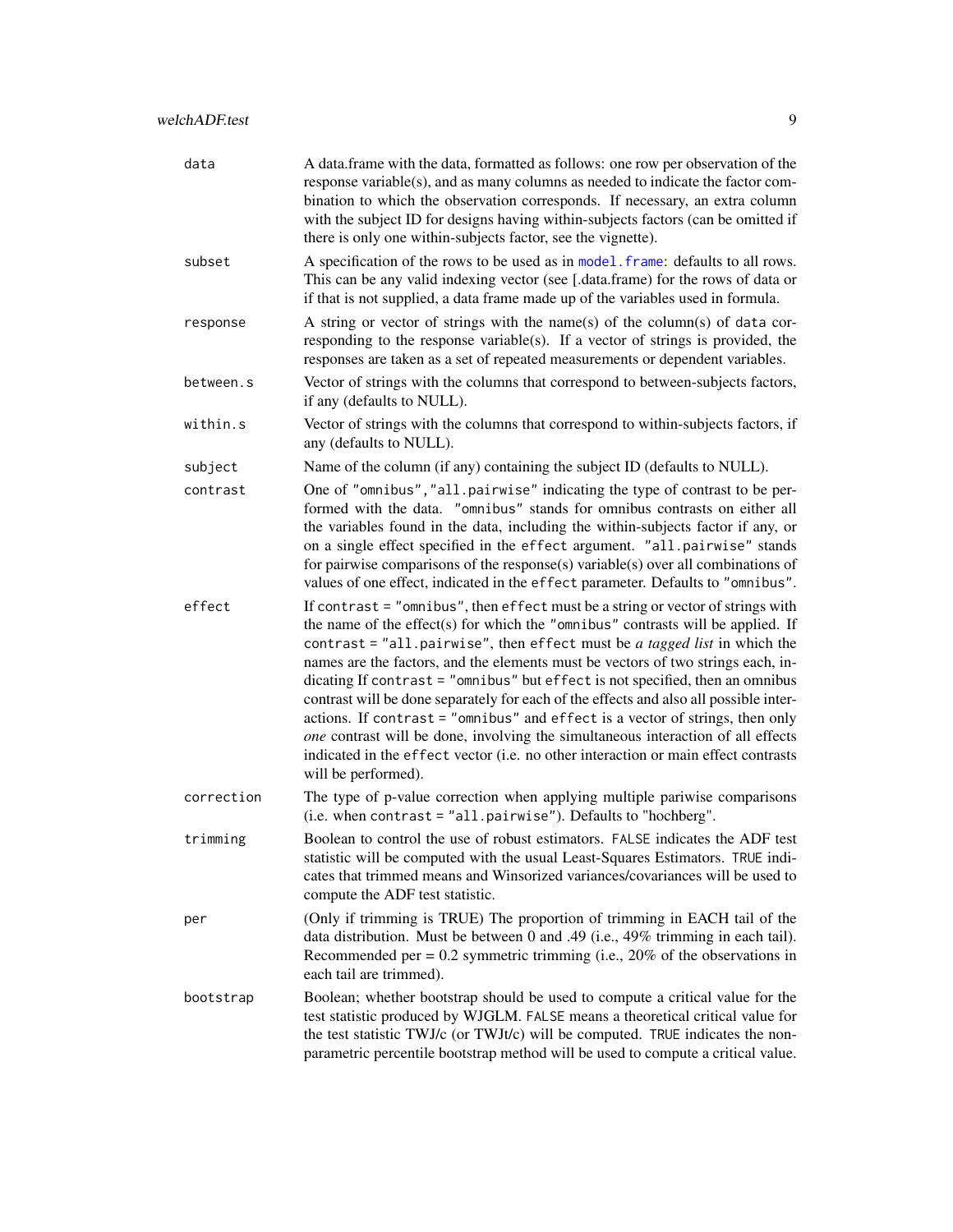<span id="page-8-0"></span>

| data       | A data.frame with the data, formatted as follows: one row per observation of the<br>response variable(s), and as many columns as needed to indicate the factor com-<br>bination to which the observation corresponds. If necessary, an extra column<br>with the subject ID for designs having within-subjects factors (can be omitted if<br>there is only one within-subjects factor, see the vignette).                                                                                                                                                                                                                                                                                                                                                                                        |
|------------|-------------------------------------------------------------------------------------------------------------------------------------------------------------------------------------------------------------------------------------------------------------------------------------------------------------------------------------------------------------------------------------------------------------------------------------------------------------------------------------------------------------------------------------------------------------------------------------------------------------------------------------------------------------------------------------------------------------------------------------------------------------------------------------------------|
| subset     | A specification of the rows to be used as in model. frame: defaults to all rows.<br>This can be any valid indexing vector (see [.data.frame) for the rows of data or<br>if that is not supplied, a data frame made up of the variables used in formula.                                                                                                                                                                                                                                                                                                                                                                                                                                                                                                                                         |
| response   | A string or vector of strings with the name(s) of the column(s) of data cor-<br>responding to the response variable(s). If a vector of strings is provided, the<br>responses are taken as a set of repeated measurements or dependent variables.                                                                                                                                                                                                                                                                                                                                                                                                                                                                                                                                                |
| between.s  | Vector of strings with the columns that correspond to between-subjects factors,<br>if any (defaults to NULL).                                                                                                                                                                                                                                                                                                                                                                                                                                                                                                                                                                                                                                                                                   |
| within.s   | Vector of strings with the columns that correspond to within-subjects factors, if<br>any (defaults to NULL).                                                                                                                                                                                                                                                                                                                                                                                                                                                                                                                                                                                                                                                                                    |
| subject    | Name of the column (if any) containing the subject ID (defaults to NULL).                                                                                                                                                                                                                                                                                                                                                                                                                                                                                                                                                                                                                                                                                                                       |
| contrast   | One of "omnibus", "all.pairwise" indicating the type of contrast to be per-<br>formed with the data. "omnibus" stands for omnibus contrasts on either all<br>the variables found in the data, including the within-subjects factor if any, or<br>on a single effect specified in the effect argument. "all.pairwise" stands<br>for pairwise comparisons of the response(s) variable(s) over all combinations of<br>values of one effect, indicated in the effect parameter. Defaults to "omnibus".                                                                                                                                                                                                                                                                                              |
| effect     | If contrast = "omnibus", then effect must be a string or vector of strings with<br>the name of the effect(s) for which the "omnibus" contrasts will be applied. If<br>contrast = "all.pairwise", then effect must be a tagged list in which the<br>names are the factors, and the elements must be vectors of two strings each, in-<br>dicating If contrast = "omnibus" but effect is not specified, then an omnibus<br>contrast will be done separately for each of the effects and also all possible inter-<br>actions. If contrast = "omnibus" and effect is a vector of strings, then only<br>one contrast will be done, involving the simultaneous interaction of all effects<br>indicated in the effect vector (i.e. no other interaction or main effect contrasts<br>will be performed). |
| correction | The type of p-value correction when applying multiple pariwise comparisons<br>(i.e. when contrast = "all.pairwise"). Defaults to "hochberg".                                                                                                                                                                                                                                                                                                                                                                                                                                                                                                                                                                                                                                                    |
| trimming   | Boolean to control the use of robust estimators. FALSE indicates the ADF test<br>statistic will be computed with the usual Least-Squares Estimators. TRUE indi-<br>cates that trimmed means and Winsorized variances/covariances will be used to<br>compute the ADF test statistic.                                                                                                                                                                                                                                                                                                                                                                                                                                                                                                             |
| per        | (Only if trimming is TRUE) The proportion of trimming in EACH tail of the<br>data distribution. Must be between 0 and .49 (i.e., 49% trimming in each tail).<br>Recommended per = $0.2$ symmetric trimming (i.e., $20\%$ of the observations in<br>each tail are trimmed).                                                                                                                                                                                                                                                                                                                                                                                                                                                                                                                      |
| bootstrap  | Boolean; whether bootstrap should be used to compute a critical value for the<br>test statistic produced by WJGLM. FALSE means a theoretical critical value for<br>the test statistic TWJ/c (or TWJt/c) will be computed. TRUE indicates the non-<br>parametric percentile bootstrap method will be used to compute a critical value.                                                                                                                                                                                                                                                                                                                                                                                                                                                           |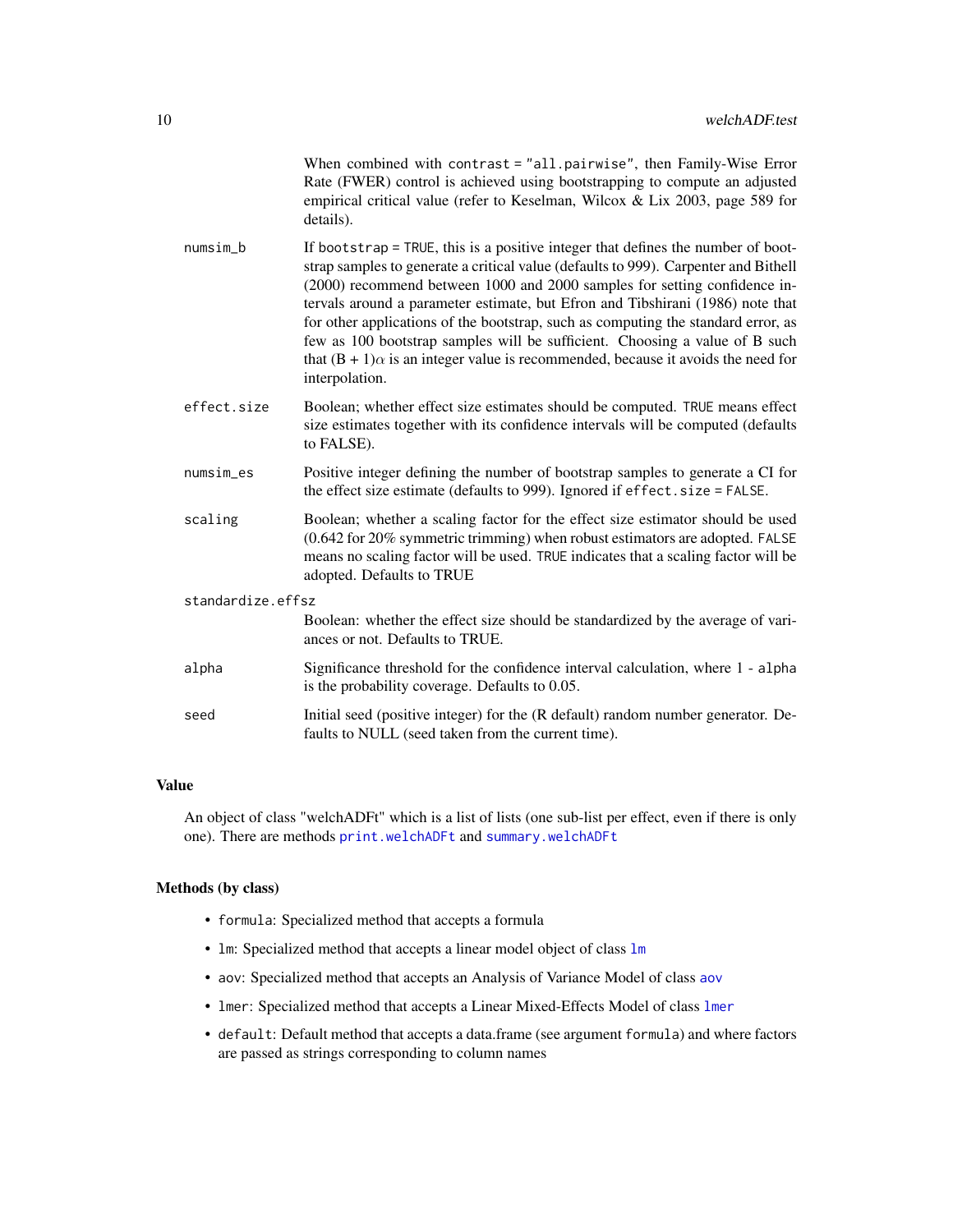| When combined with contrast = "all.pairwise", then Family-Wise Error         |
|------------------------------------------------------------------------------|
| Rate (FWER) control is achieved using bootstrapping to compute an adjusted   |
| empirical critical value (refer to Keselman, Wilcox & Lix 2003, page 589 for |
| details).                                                                    |

- <span id="page-9-0"></span>numsim\_b If bootstrap = TRUE, this is a positive integer that defines the number of bootstrap samples to generate a critical value (defaults to 999). Carpenter and Bithell (2000) recommend between 1000 and 2000 samples for setting confidence intervals around a parameter estimate, but Efron and Tibshirani (1986) note that for other applications of the bootstrap, such as computing the standard error, as few as 100 bootstrap samples will be sufficient. Choosing a value of B such that  $(B + 1)\alpha$  is an integer value is recommended, because it avoids the need for interpolation.
- effect.size Boolean; whether effect size estimates should be computed. TRUE means effect size estimates together with its confidence intervals will be computed (defaults to FALSE).
- numsim\_es Positive integer defining the number of bootstrap samples to generate a CI for the effect size estimate (defaults to 999). Ignored if effect.size = FALSE.
- scaling Boolean; whether a scaling factor for the effect size estimator should be used (0.642 for 20% symmetric trimming) when robust estimators are adopted. FALSE means no scaling factor will be used. TRUE indicates that a scaling factor will be adopted. Defaults to TRUE

#### standardize.effsz

Boolean: whether the effect size should be standardized by the average of variances or not. Defaults to TRUE.

- alpha Significance threshold for the confidence interval calculation, where 1 alpha is the probability coverage. Defaults to 0.05.
- seed Initial seed (positive integer) for the (R default) random number generator. Defaults to NULL (seed taken from the current time).

#### Value

An object of class "welchADFt" which is a list of lists (one sub-list per effect, even if there is only one). There are methods [print.welchADFt](#page-6-2) and [summary.welchADFt](#page-6-3)

#### Methods (by class)

- formula: Specialized method that accepts a formula
- lm: Specialized method that accepts a linear model object of class [lm](#page-0-0)
- aov: Specialized method that accepts an Analysis of Variance Model of class [aov](#page-0-0)
- lmer: Specialized method that accepts a Linear Mixed-Effects Model of class [lmer](#page-0-0)
- default: Default method that accepts a data.frame (see argument formula) and where factors are passed as strings corresponding to column names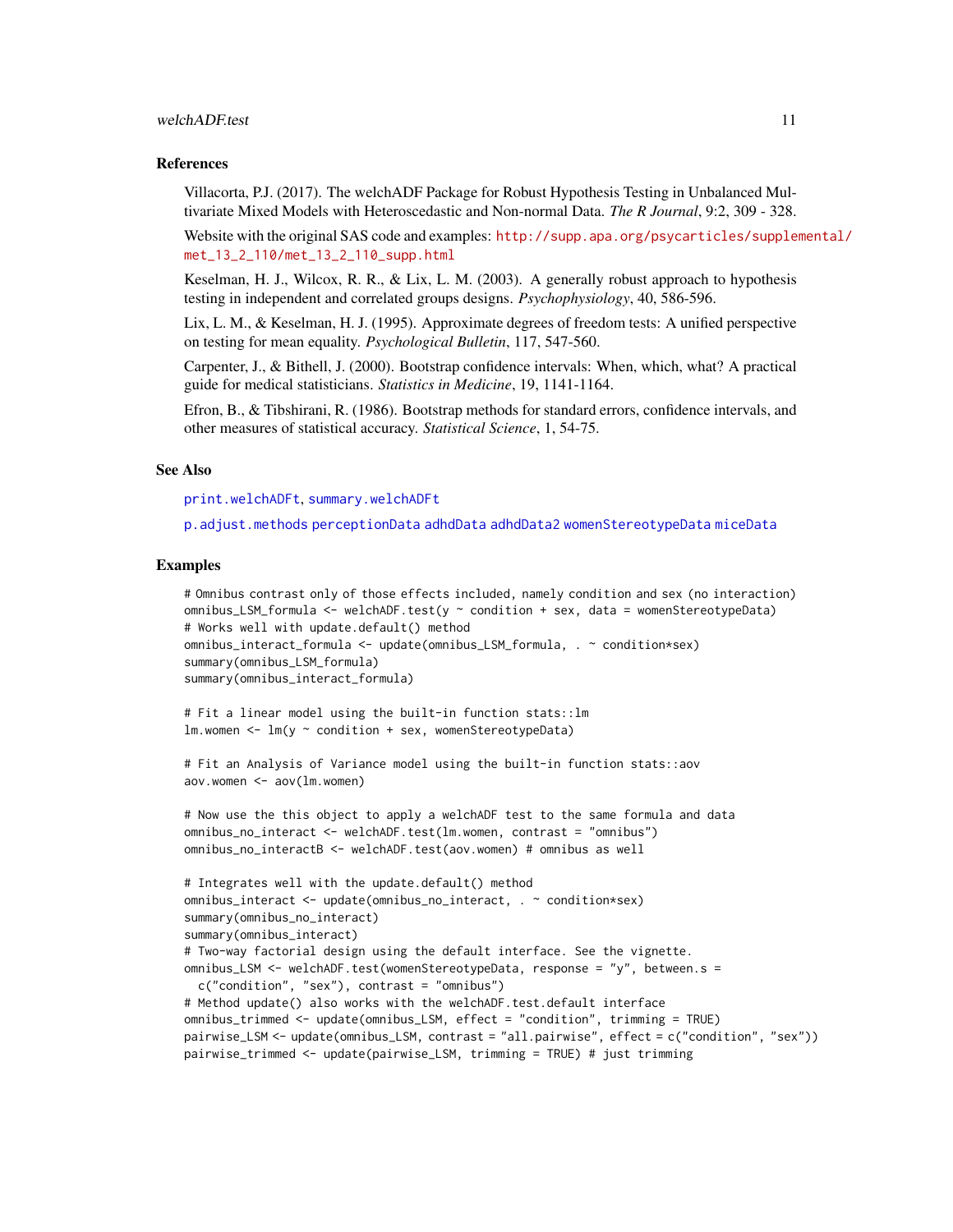#### <span id="page-10-0"></span>welchADF.test 11

#### References

Villacorta, P.J. (2017). The welchADF Package for Robust Hypothesis Testing in Unbalanced Multivariate Mixed Models with Heteroscedastic and Non-normal Data. *The R Journal*, 9:2, 309 - 328.

Website with the original SAS code and examples: [http://supp.apa.org/psycarticles/supple](http://supp.apa.org/psycarticles/supplemental/met_13_2_110/met_13_2_110_supp.html)mental/ [met\\_13\\_2\\_110/met\\_13\\_2\\_110\\_supp.html](http://supp.apa.org/psycarticles/supplemental/met_13_2_110/met_13_2_110_supp.html)

Keselman, H. J., Wilcox, R. R., & Lix, L. M. (2003). A generally robust approach to hypothesis testing in independent and correlated groups designs. *Psychophysiology*, 40, 586-596.

Lix, L. M., & Keselman, H. J. (1995). Approximate degrees of freedom tests: A unified perspective on testing for mean equality. *Psychological Bulletin*, 117, 547-560.

Carpenter, J., & Bithell, J. (2000). Bootstrap confidence intervals: When, which, what? A practical guide for medical statisticians. *Statistics in Medicine*, 19, 1141-1164.

Efron, B., & Tibshirani, R. (1986). Bootstrap methods for standard errors, confidence intervals, and other measures of statistical accuracy. *Statistical Science*, 1, 54-75.

#### See Also

[print.welchADFt](#page-6-2), [summary.welchADFt](#page-6-3)

[p.adjust.methods](#page-0-0) [perceptionData](#page-5-1) [adhdData](#page-1-1) [adhdData2](#page-2-1) [womenStereotypeData](#page-11-1) [miceData](#page-4-1)

#### Examples

```
# Omnibus contrast only of those effects included, namely condition and sex (no interaction)
omnibus_LSM_formula \leq welchADF.test(y \sim condition + sex, data = womenStereotypeData)
# Works well with update.default() method
omnibus_interact_formula <- update(omnibus_LSM_formula, . ~ condition*sex)
summary(omnibus_LSM_formula)
summary(omnibus_interact_formula)
```

```
# Fit a linear model using the built-in function stats::lm
lm. women \leq lm(y \sim condition + sex, womenStereotypeData)
```

```
# Fit an Analysis of Variance model using the built-in function stats::aov
aov. women \leq -aov(1m. women)
```

```
# Now use the this object to apply a welchADF test to the same formula and data
omnibus_no_interact <- welchADF.test(lm.women, contrast = "omnibus")
omnibus_no_interactB <- welchADF.test(aov.women) # omnibus as well
```

```
# Integrates well with the update.default() method
omnibus_interact <- update(omnibus_no_interact, . ~ condition*sex)
summary(omnibus_no_interact)
summary(omnibus_interact)
# Two-way factorial design using the default interface. See the vignette.
omnibus_LSM <- welchADF.test(womenStereotypeData, response = "y", between.s =
 c("condition", "sex"), contrast = "omnibus")
# Method update() also works with the welchADF.test.default interface
omnibus_trimmed <- update(omnibus_LSM, effect = "condition", trimming = TRUE)
pairwise_LSM <- update(omnibus_LSM, contrast = "all.pairwise", effect = c("condition", "sex"))
pairwise_trimmed <- update(pairwise_LSM, trimming = TRUE) # just trimming
```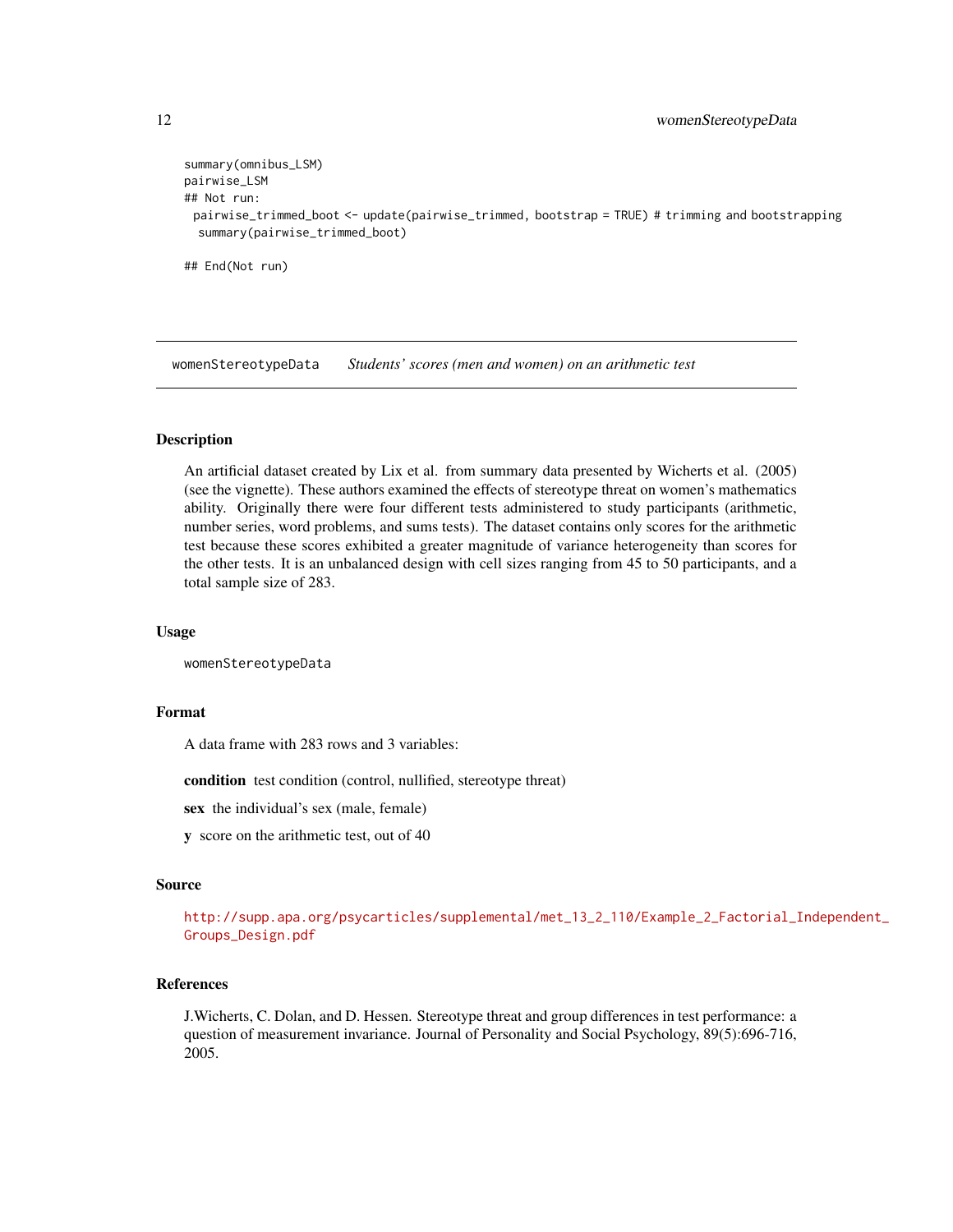```
summary(omnibus_LSM)
pairwise_LSM
## Not run:
 pairwise_trimmed_boot <- update(pairwise_trimmed, bootstrap = TRUE) # trimming and bootstrapping
 summary(pairwise_trimmed_boot)
## End(Not run)
```
<span id="page-11-1"></span>womenStereotypeData *Students' scores (men and women) on an arithmetic test*

#### **Description**

An artificial dataset created by Lix et al. from summary data presented by Wicherts et al. (2005) (see the vignette). These authors examined the effects of stereotype threat on women's mathematics ability. Originally there were four different tests administered to study participants (arithmetic, number series, word problems, and sums tests). The dataset contains only scores for the arithmetic test because these scores exhibited a greater magnitude of variance heterogeneity than scores for the other tests. It is an unbalanced design with cell sizes ranging from 45 to 50 participants, and a total sample size of 283.

#### Usage

```
womenStereotypeData
```
#### Format

A data frame with 283 rows and 3 variables:

condition test condition (control, nullified, stereotype threat)

sex the individual's sex (male, female)

y score on the arithmetic test, out of 40

#### Source

[http://supp.apa.org/psycarticles/supplemental/met\\_13\\_2\\_110/Example\\_2\\_Factorial\\_I](http://supp.apa.org/psycarticles/supplemental/met_13_2_110/Example_2_Factorial_Independent_Groups_Design.pdf)ndependent\_ [Groups\\_Design.pdf](http://supp.apa.org/psycarticles/supplemental/met_13_2_110/Example_2_Factorial_Independent_Groups_Design.pdf)

#### References

J.Wicherts, C. Dolan, and D. Hessen. Stereotype threat and group differences in test performance: a question of measurement invariance. Journal of Personality and Social Psychology, 89(5):696-716, 2005.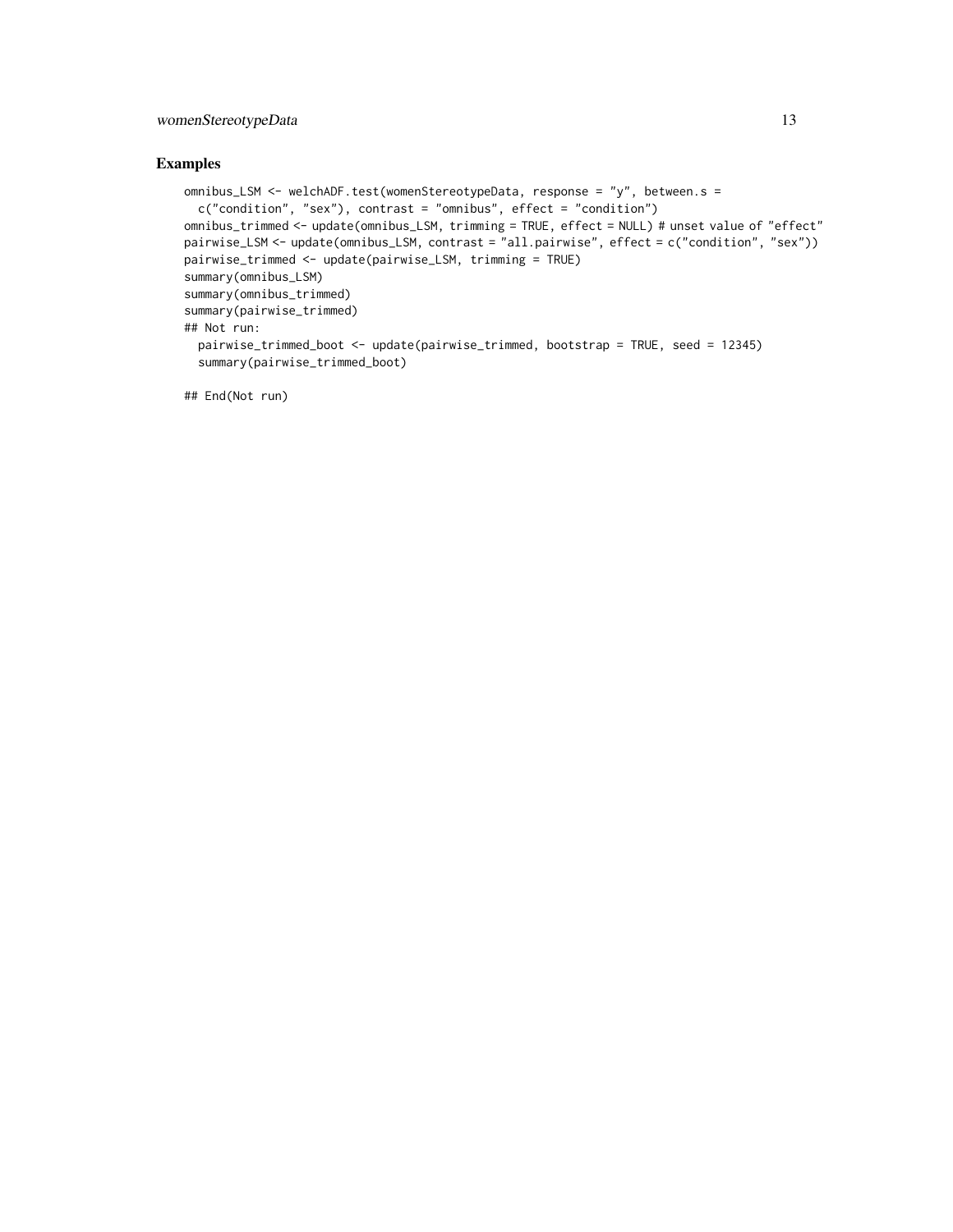#### womenStereotypeData 13

#### Examples

```
omnibus_LSM <- welchADF.test(womenStereotypeData, response = "y", between.s =
 c("condition", "sex"), contrast = "omnibus", effect = "condition")
omnibus_trimmed <- update(omnibus_LSM, trimming = TRUE, effect = NULL) # unset value of "effect"
pairwise_LSM <- update(omnibus_LSM, contrast = "all.pairwise", effect = c("condition", "sex"))
pairwise_trimmed <- update(pairwise_LSM, trimming = TRUE)
summary(omnibus_LSM)
summary(omnibus_trimmed)
summary(pairwise_trimmed)
## Not run:
 pairwise_trimmed_boot <- update(pairwise_trimmed, bootstrap = TRUE, seed = 12345)
  summary(pairwise_trimmed_boot)
```
## End(Not run)